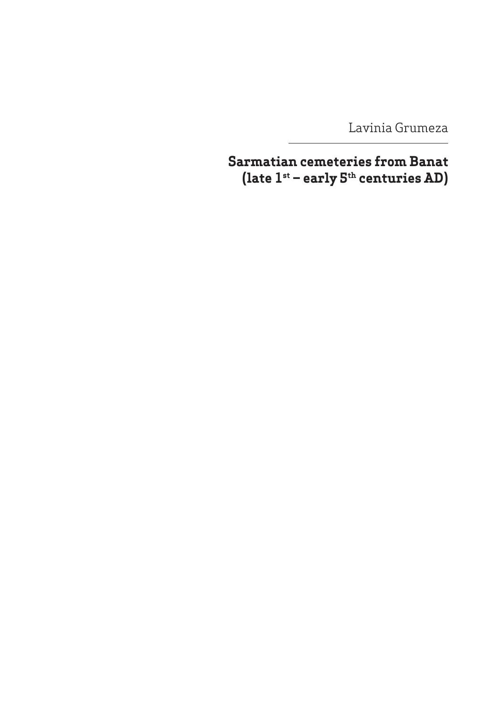Lavinia Grumeza

**Sarmatian cemeteries from Banat (late 1st – early 5th centuries AD)**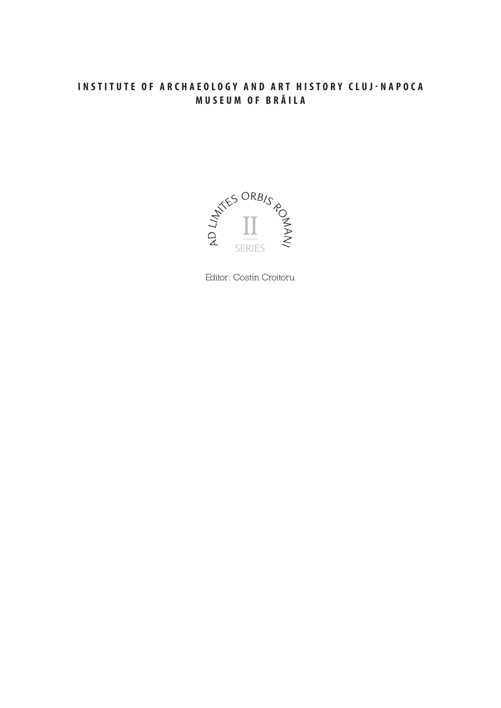### INSTITUTE OF ARCHAEOLOGY AND ART HISTORY CLUJ-NAPOCA MUSEUM OF BRĂILA



Editor: Costin Croitoru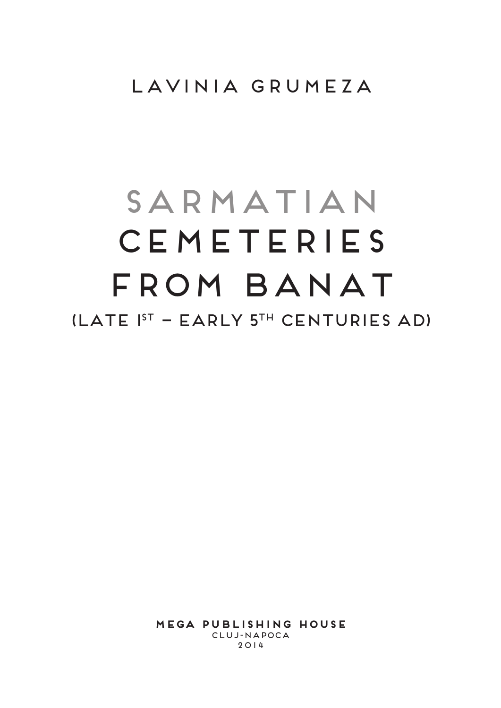# Lavinia Grumeza

# SARMATIAN **CEMETERIES** from Banat  $(LATE$   $I<sup>ST</sup>$  – EARLY  $5<sup>TH</sup>$  CENTURIES AD)

**MEGA Publishing House** Cluj‑Napoca 2014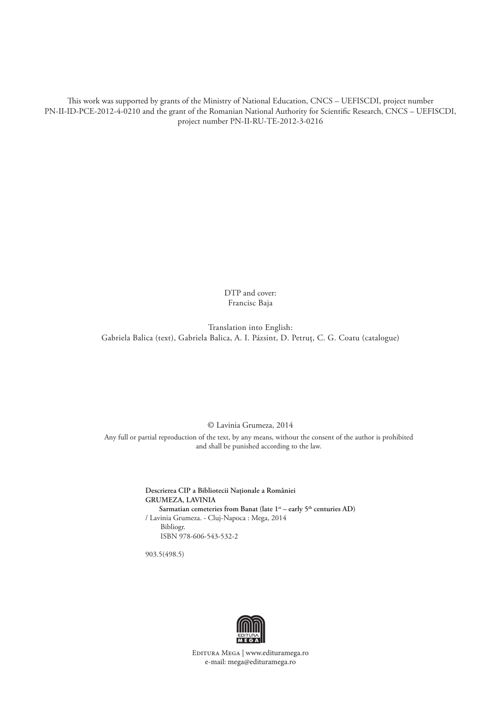This work was supported by grants of the Ministry of National Education, CNCS – UEFISCDI, project number PN-II-ID-PCE-2012-4-0210 and the grant of the Romanian National Authority for Scientific Research, CNCS – UEFISCDI, project number PN-II-RU-TE-2012-3-0216

> DTP and cover: Francisc Baja

Translation into English: Gabriela Balica (text), Gabriela Balica, A. I. Pázsint, D. Petruţ, C. G. Coatu (catalogue)

#### © Lavinia Grumeza, 2014

Any full or partial reproduction of the text, by any means, without the consent of the author is prohibited and shall be punished according to the law.

> **Descrierea CIP a Bibliotecii Naţionale a României GRUMEZA, LAVINIA** Sarmatian cemeteries from Banat (late  $1^{st}$  – early 5<sup>th</sup> centuries AD) / Lavinia Grumeza. - Cluj-Napoca : Mega, 2014 Bibliogr. ISBN 978-606-543-532-2

903.5(498.5)



Editura Mega | www.edituramega.ro e‑mail: mega@edituramega.ro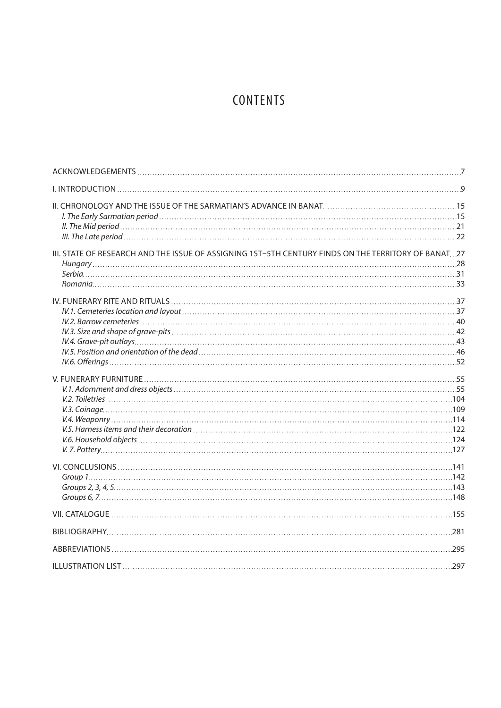# **CONTENTS**

| III. STATE OF RESEARCH AND THE ISSUE OF ASSIGNING 1ST-5TH CENTURY FINDS ON THE TERRITORY OF BANAT27 |  |
|-----------------------------------------------------------------------------------------------------|--|
|                                                                                                     |  |
|                                                                                                     |  |
|                                                                                                     |  |
|                                                                                                     |  |
|                                                                                                     |  |
|                                                                                                     |  |
|                                                                                                     |  |